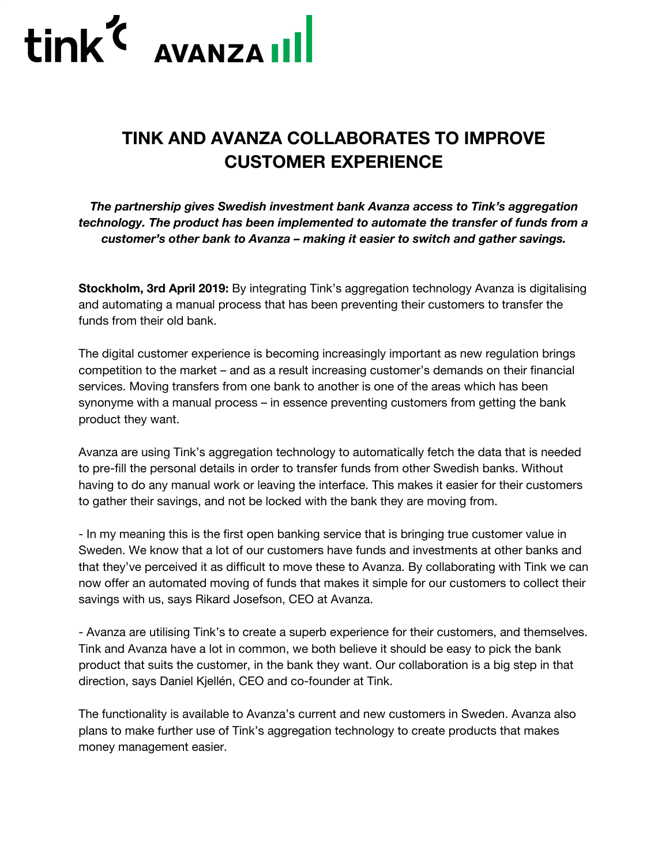

## **TINK AND AVANZA COLLABORATES TO IMPROVE CUSTOMER EXPERIENCE**

*The partnership gives Swedish investment bank Avanza access to Tink's aggregation technology. The product has been implemented to automate the transfer of funds from a customer's other bank to Avanza – making it easier to switch and gather savings.*

**Stockholm, 3rd April 2019:** By integrating Tink's aggregation technology Avanza is digitalising and automating a manual process that has been preventing their customers to transfer the funds from their old bank.

The digital customer experience is becoming increasingly important as new regulation brings competition to the market – and as a result increasing customer's demands on their financial services. Moving transfers from one bank to another is one of the areas which has been synonyme with a manual process – in essence preventing customers from getting the bank product they want.

Avanza are using Tink's aggregation technology to automatically fetch the data that is needed to pre-fill the personal details in order to transfer funds from other Swedish banks. Without having to do any manual work or leaving the interface. This makes it easier for their customers to gather their savings, and not be locked with the bank they are moving from.

- In my meaning this is the first open banking service that is bringing true customer value in Sweden. We know that a lot of our customers have funds and investments at other banks and that they've perceived it as difficult to move these to Avanza. By collaborating with Tink we can now offer an automated moving of funds that makes it simple for our customers to collect their savings with us, says Rikard Josefson, CEO at Avanza.

- Avanza are utilising Tink's to create a superb experience for their customers, and themselves. Tink and Avanza have a lot in common, we both believe it should be easy to pick the bank product that suits the customer, in the bank they want. Our collaboration is a big step in that direction, says Daniel Kjellén, CEO and co-founder at Tink.

The functionality is available to Avanza's current and new customers in Sweden. Avanza also plans to make further use of Tink's aggregation technology to create products that makes money management easier.